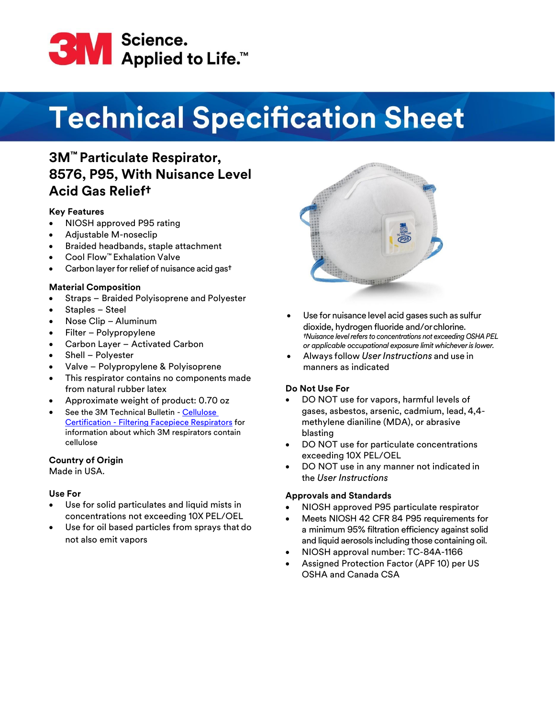

# **Technical Specification Sheet**

## **3M™ Particulate Respirator, 8576, P95, With Nuisance Level Acid Gas Relief†**

#### **Key Features**

- NIOSH approved P95 rating
- Adjustable M-noseclip
- Braided headbands, staple attachment
- Cool Flow™ Exhalation Valve
- Carbon layer for relief of nuisance acid gas<sup>t</sup>

#### **Material Composition**

- Straps Braided Polyisoprene and Polyester
- Staples Steel
- Nose Clip Aluminum
- Filter Polypropylene
- Carbon Layer Activated Carbon
- Shell Polyester
- Valve Polypropylene & Polyisoprene
- This respirator contains no components made from natural rubber latex
- Approximate weight of product: 0.70 oz
- See the 3M Technical Bulletin [Cellulose](https://multimedia.3m.com/mws/media/1824613O/cellulose-certification-filtering-facepiece-respirators.pdf) Certification - [Filtering Facepiece Respirators](https://multimedia.3m.com/mws/media/1824613O/cellulose-certification-filtering-facepiece-respirators.pdf) for information about which 3M respirators contain cellulose

#### **Country of Origin**

Made in USA.

#### **Use For**

- Use for solid particulates and liquid mists in concentrations not exceeding 10X PEL/OEL
- Use for oil based particles from sprays that do not also emit vapors



- Use for nuisance level acid gases such as sulfur dioxide, hydrogen fluoride and/orchlorine. *†Nuisance level refers to concentrations not exceeding OSHA PEL or applicable occupational exposure limit whichever is lower.*
- Always follow *UserInstructions* and use in manners as indicated

#### **Do Not Use For**

- DO NOT use for vapors, harmful levels of gases, asbestos, arsenic, cadmium, lead, 4,4 methylene dianiline (MDA), or abrasive blasting
- DO NOT use for particulate concentrations exceeding 10X PEL/OEL
- DO NOT use in any manner not indicated in the *User Instructions*

#### **Approvals and Standards**

- NIOSH approved P95 particulate respirator
- Meets NIOSH 42 CFR 84 P95 requirements for a minimum 95% filtration efficiency against solid and liquid aerosols including those containing oil.
- NIOSH approval number: TC-84A-1166
- Assigned Protection Factor (APF 10) per US OSHA and Canada CSA